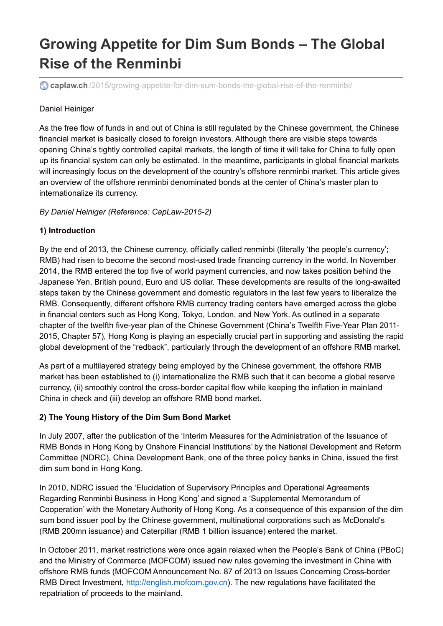# **Growing Appetite for Dim Sum Bonds – The Global Rise of the Renminbi**

**caplaw.ch** [/2015/growing-appetite-for-dim-sum-bonds-the-global-rise-of-the-renminbi/](http://www.caplaw.ch/2015/growing-appetite-for-dim-sum-bonds-the-global-rise-of-the-renminbi/)

#### Daniel Heiniger

As the free flow of funds in and out of China is still regulated by the Chinese government, the Chinese financial market is basically closed to foreign investors. Although there are visible steps towards opening China's tightly controlled capital markets, the length of time it will take for China to fully open up its financial system can only be estimated. In the meantime, participants in global financial markets will increasingly focus on the development of the country's offshore renminbi market. This article gives an overview of the offshore renminbi denominated bonds at the center of China's master plan to internationalize its currency.

*By Daniel Heiniger (Reference: CapLaw-2015-2)*

#### **1) Introduction**

By the end of 2013, the Chinese currency, officially called renminbi (literally 'the people's currency'; RMB) had risen to become the second most-used trade financing currency in the world. In November 2014, the RMB entered the top five of world payment currencies, and now takes position behind the Japanese Yen, British pound, Euro and US dollar. These developments are results of the long-awaited steps taken by the Chinese government and domestic regulators in the last few years to liberalize the RMB. Consequently, different offshore RMB currency trading centers have emerged across the globe in financial centers such as Hong Kong, Tokyo, London, and New York. As outlined in a separate chapter of the twelfth five-year plan of the Chinese Government (China's Twelfth Five-Year Plan 2011- 2015, Chapter 57), Hong Kong is playing an especially crucial part in supporting and assisting the rapid global development of the "redback", particularly through the development of an offshore RMB market.

As part of a multilayered strategy being employed by the Chinese government, the offshore RMB market has been established to (i) internationalize the RMB such that it can become a global reserve currency, (ii) smoothly control the cross-border capital flow while keeping the inflation in mainland China in check and (iii) develop an offshore RMB bond market.

## **2) The Young History of the Dim Sum Bond Market**

In July 2007, after the publication of the 'Interim Measures for the Administration of the Issuance of RMB Bonds in Hong Kong by Onshore Financial Institutions' by the National Development and Reform Committee (NDRC), China Development Bank, one of the three policy banks in China, issued the first dim sum bond in Hong Kong.

In 2010, NDRC issued the 'Elucidation of Supervisory Principles and Operational Agreements Regarding Renminbi Business in Hong Kong' and signed a 'Supplemental Memorandum of Cooperation' with the Monetary Authority of Hong Kong. As a consequence of this expansion of the dim sum bond issuer pool by the Chinese government, multinational corporations such as McDonald's (RMB 200mn issuance) and Caterpillar (RMB 1 billion issuance) entered the market.

In October 2011, market restrictions were once again relaxed when the People's Bank of China (PBoC) and the Ministry of Commerce (MOFCOM) issued new rules governing the investment in China with offshore RMB funds (MOFCOM Announcement No. 87 of 2013 on Issues Concerning Cross-border RMB Direct Investment, <http://english.mofcom.gov.cn>). The new regulations have facilitated the repatriation of proceeds to the mainland.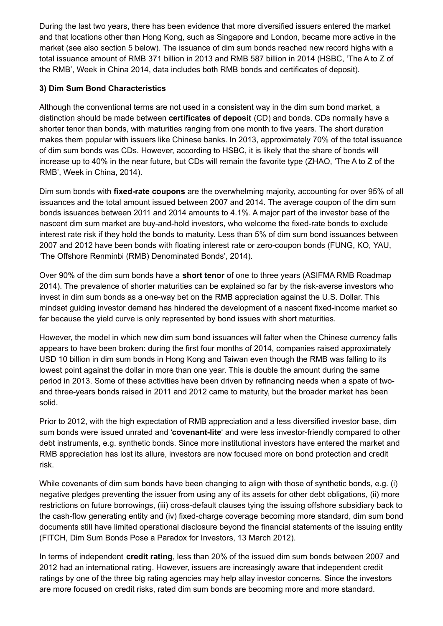During the last two years, there has been evidence that more diversified issuers entered the market and that locations other than Hong Kong, such as Singapore and London, became more active in the market (see also section 5 below). The issuance of dim sum bonds reached new record highs with a total issuance amount of RMB 371 billion in 2013 and RMB 587 billion in 2014 (HSBC, 'The A to Z of the RMB', Week in China 2014, data includes both RMB bonds and certificates of deposit).

## **3) Dim Sum Bond Characteristics**

Although the conventional terms are not used in a consistent way in the dim sum bond market, a distinction should be made between **certificates of deposit** (CD) and bonds. CDs normally have a shorter tenor than bonds, with maturities ranging from one month to five years. The short duration makes them popular with issuers like Chinese banks. In 2013, approximately 70% of the total issuance of dim sum bonds was CDs. However, according to HSBC, it is likely that the share of bonds will increase up to 40% in the near future, but CDs will remain the favorite type (ZHAO, 'The A to Z of the RMB', Week in China, 2014).

Dim sum bonds with **fixed-rate coupons** are the overwhelming majority, accounting for over 95% of all issuances and the total amount issued between 2007 and 2014. The average coupon of the dim sum bonds issuances between 2011 and 2014 amounts to 4.1%. A major part of the investor base of the nascent dim sum market are buy-and-hold investors, who welcome the fixed-rate bonds to exclude interest rate risk if they hold the bonds to maturity. Less than 5% of dim sum bond issuances between 2007 and 2012 have been bonds with floating interest rate or zero-coupon bonds (FUNG, KO, YAU, 'The Offshore Renminbi (RMB) Denominated Bonds', 2014).

Over 90% of the dim sum bonds have a **short tenor** of one to three years (ASIFMA RMB Roadmap 2014). The prevalence of shorter maturities can be explained so far by the risk-averse investors who invest in dim sum bonds as a one-way bet on the RMB appreciation against the U.S. Dollar. This mindset guiding investor demand has hindered the development of a nascent fixed-income market so far because the yield curve is only represented by bond issues with short maturities.

However, the model in which new dim sum bond issuances will falter when the Chinese currency falls appears to have been broken: during the first four months of 2014, companies raised approximately USD 10 billion in dim sum bonds in Hong Kong and Taiwan even though the RMB was falling to its lowest point against the dollar in more than one year. This is double the amount during the same period in 2013. Some of these activities have been driven by refinancing needs when a spate of twoand three-years bonds raised in 2011 and 2012 came to maturity, but the broader market has been solid.

Prior to 2012, with the high expectation of RMB appreciation and a less diversified investor base, dim sum bonds were issued unrated and '**covenant-lite**' and were less investor-friendly compared to other debt instruments, e.g. synthetic bonds. Since more institutional investors have entered the market and RMB appreciation has lost its allure, investors are now focused more on bond protection and credit risk.

While covenants of dim sum bonds have been changing to align with those of synthetic bonds, e.g. (i) negative pledges preventing the issuer from using any of its assets for other debt obligations, (ii) more restrictions on future borrowings, (iii) cross-default clauses tying the issuing offshore subsidiary back to the cash-flow generating entity and (iv) fixed-charge coverage becoming more standard, dim sum bond documents still have limited operational disclosure beyond the financial statements of the issuing entity (FITCH, Dim Sum Bonds Pose a Paradox for Investors, 13 March 2012).

In terms of independent **credit rating**, less than 20% of the issued dim sum bonds between 2007 and 2012 had an international rating. However, issuers are increasingly aware that independent credit ratings by one of the three big rating agencies may help allay investor concerns. Since the investors are more focused on credit risks, rated dim sum bonds are becoming more and more standard.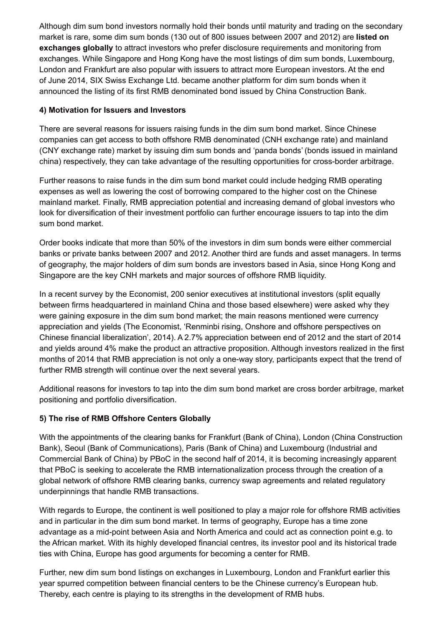Although dim sum bond investors normally hold their bonds until maturity and trading on the secondary market is rare, some dim sum bonds (130 out of 800 issues between 2007 and 2012) are **listed on exchanges globally** to attract investors who prefer disclosure requirements and monitoring from exchanges. While Singapore and Hong Kong have the most listings of dim sum bonds, Luxembourg, London and Frankfurt are also popular with issuers to attract more European investors. At the end of June 2014, SIX Swiss Exchange Ltd. became another platform for dim sum bonds when it announced the listing of its first RMB denominated bond issued by China Construction Bank.

## **4) Motivation for Issuers and Investors**

There are several reasons for issuers raising funds in the dim sum bond market. Since Chinese companies can get access to both offshore RMB denominated (CNH exchange rate) and mainland (CNY exchange rate) market by issuing dim sum bonds and 'panda bonds' (bonds issued in mainland china) respectively, they can take advantage of the resulting opportunities for cross-border arbitrage.

Further reasons to raise funds in the dim sum bond market could include hedging RMB operating expenses as well as lowering the cost of borrowing compared to the higher cost on the Chinese mainland market. Finally, RMB appreciation potential and increasing demand of global investors who look for diversification of their investment portfolio can further encourage issuers to tap into the dim sum bond market.

Order books indicate that more than 50% of the investors in dim sum bonds were either commercial banks or private banks between 2007 and 2012. Another third are funds and asset managers. In terms of geography, the major holders of dim sum bonds are investors based in Asia, since Hong Kong and Singapore are the key CNH markets and major sources of offshore RMB liquidity.

In a recent survey by the Economist, 200 senior executives at institutional investors (split equally between firms headquartered in mainland China and those based elsewhere) were asked why they were gaining exposure in the dim sum bond market; the main reasons mentioned were currency appreciation and yields (The Economist, 'Renminbi rising, Onshore and offshore perspectives on Chinese financial liberalization', 2014). A 2.7% appreciation between end of 2012 and the start of 2014 and yields around 4% make the product an attractive proposition. Although investors realized in the first months of 2014 that RMB appreciation is not only a one-way story, participants expect that the trend of further RMB strength will continue over the next several years.

Additional reasons for investors to tap into the dim sum bond market are cross border arbitrage, market positioning and portfolio diversification.

## **5) The rise of RMB Offshore Centers Globally**

With the appointments of the clearing banks for Frankfurt (Bank of China), London (China Construction Bank), Seoul (Bank of Communications), Paris (Bank of China) and Luxembourg (Industrial and Commercial Bank of China) by PBoC in the second half of 2014, it is becoming increasingly apparent that PBoC is seeking to accelerate the RMB internationalization process through the creation of a global network of offshore RMB clearing banks, currency swap agreements and related regulatory underpinnings that handle RMB transactions.

With regards to Europe, the continent is well positioned to play a major role for offshore RMB activities and in particular in the dim sum bond market. In terms of geography, Europe has a time zone advantage as a mid-point between Asia and North America and could act as connection point e.g. to the African market. With its highly developed financial centres, its investor pool and its historical trade ties with China, Europe has good arguments for becoming a center for RMB.

Further, new dim sum bond listings on exchanges in Luxembourg, London and Frankfurt earlier this year spurred competition between financial centers to be the Chinese currency's European hub. Thereby, each centre is playing to its strengths in the development of RMB hubs.